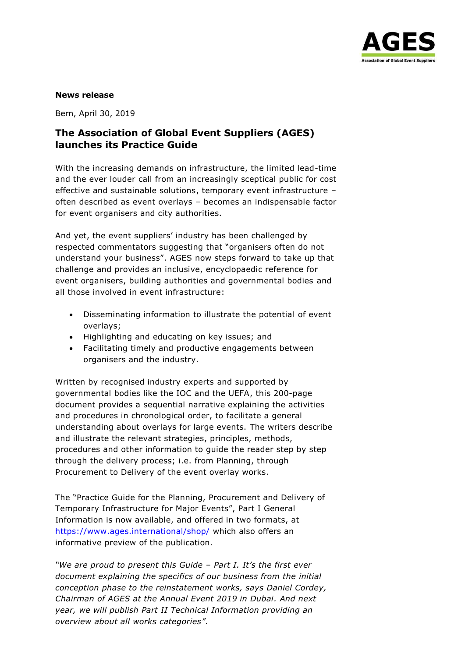

## **News release**

Bern, April 30, 2019

## **The Association of Global Event Suppliers (AGES) launches its Practice Guide**

With the increasing demands on infrastructure, the limited lead-time and the ever louder call from an increasingly sceptical public for cost effective and sustainable solutions, temporary event infrastructure – often described as event overlays – becomes an indispensable factor for event organisers and city authorities.

And yet, the event suppliers' industry has been challenged by respected commentators suggesting that "organisers often do not understand your business". AGES now steps forward to take up that challenge and provides an inclusive, encyclopaedic reference for event organisers, building authorities and governmental bodies and all those involved in event infrastructure:

- Disseminating information to illustrate the potential of event overlays;
- Highlighting and educating on key issues; and
- Facilitating timely and productive engagements between organisers and the industry.

Written by recognised industry experts and supported by governmental bodies like the IOC and the UEFA, this 200-page document provides a sequential narrative explaining the activities and procedures in chronological order, to facilitate a general understanding about overlays for large events. The writers describe and illustrate the relevant strategies, principles, methods, procedures and other information to guide the reader step by step through the delivery process; i.e. from Planning, through Procurement to Delivery of the event overlay works.

The "Practice Guide for the Planning, Procurement and Delivery of Temporary Infrastructure for Major Events", Part I General Information is now available, and offered in two formats, at <https://www.ages.international/shop/> which also offers an informative preview of the publication.

*"We are proud to present this Guide – Part I. It's the first ever document explaining the specifics of our business from the initial conception phase to the reinstatement works, says Daniel Cordey, Chairman of AGES at the Annual Event 2019 in Dubai. And next year, we will publish Part II Technical Information providing an overview about all works categories".*